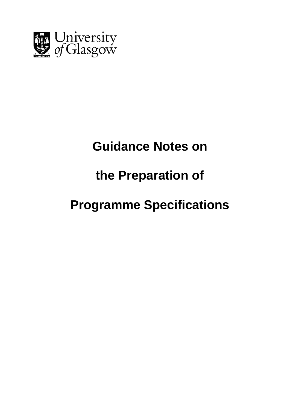

## **Guidance Notes on**

## **the Preparation of**

# **Programme Specifications**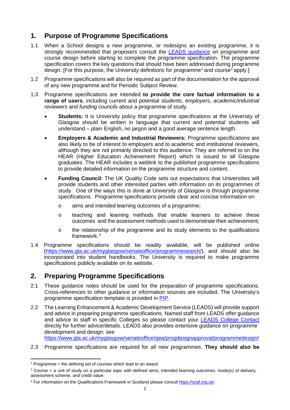## **1. Purpose of Programme Specifications**

- 1.1 When a School designs a new programme, or redesigns an existing programme, it is strongly recommended that proposers consult the [LEADS guidance](https://www.gla.ac.uk/media/media_558162_en.docx) on programme and course design before starting to complete the programme specification. The programme specification covers the key questions that should have been addressed during programme design. [For this purpose, the University definitions for programme<sup>[1](#page-1-0)</sup> and course<sup>[2](#page-1-1)</sup> apply.]
- 1.2 Programme specifications will also be required as part of the documentation for the approval of any new programme and for Periodic Subject Review.
- 1.3 Programme specifications are intended **to provide the core factual information to a range of users**, including current and potential *students*, *employers, academic/industrial reviewers* and *funding councils* about a programme of study.
	- **Students:** It is University policy that programme specifications at the University of Glasgow should be written in language that current and potential students will understand – plain English, no jargon and a good average sentence length.
	- **Employers & Academic and Industrial Reviewers:** Programme specifications are also likely to be of interest to employers and to academic and institutional reviewers, although they are not primarily directed to this audience. They are referred to on the HEAR (Higher Education Achievement Report) which is issued to all Glasgow graduates. The HEAR includes a weblink to the published programme specifications to provide detailed information on the programme structure and content.
	- **Funding Council:** The UK Quality Code sets out expectations that Universities will provide students and other interested parties with information on its programmes of study. One of the ways this is done at University of Glasgow is through programme specifications. Programme specifications provide clear and concise information on:
		- o aims and intended learning outcomes of a programme;
		- o teaching and learning methods that enable learners to achieve these outcomes and the assessment methods used to demonstrate their achievement;
		- o the relationship of the programme and its study elements to the qualifications framework.[3](#page-1-2)
- 1.4 Programme specifications should be readily available, will be published online [\(https://www.gla.ac.uk/myglasgow/senateoffice/programmesearch/\)](https://www.gla.ac.uk/myglasgow/senateoffice/programmesearch/), and should also be incorporated into student handbooks. The University is required to make programme specifications publicly available on its website.

## **2. Preparing Programme Specifications**

- 2.1 These guidance notes should be used for the preparation of programme specifications. Cross-references to other guidance or information sources are included. The University's programme specification template is provided in [PIP.](http://www.gla.ac.uk/services/it/pip/)
- 2.2 The Learning Enhancement & Academic Development Service (LEADS) will provide support and advice in preparing programme specifications. Named staff from LEADS offer guidance and advice to staff in specific Colleges so please contact your [LEADS College Contact](https://www.gla.ac.uk/myglasgow/leads/about/collegecontacts/) directly for further advice/details. LEADS also provides extensive guidance on programme development and design: see

<https://www.gla.ac.uk/myglasgow/senateoffice/qea/progdesignapproval/programmedesign/>

2.3 Programme specifications are required for all new programmes. **They should also be** 

**.** 

<span id="page-1-0"></span> $1$  Programme = the defining set of courses which lead to an award.

<span id="page-1-1"></span> $2$  Course = a unit of study on a particular topic with defined aims, intended learning outcomes, mode(s) of delivery, assessment scheme, and credit value.

<span id="page-1-2"></span><sup>3</sup> For information on the Qualifications Framework in Scotland please consul[t https://scqf.org.uk/](https://scqf.org.uk/)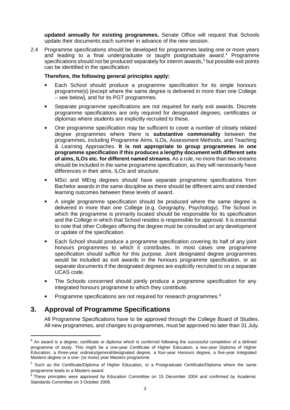**updated annually for existing programmes.** Senate Office will request that Schools update their documents each summer in advance of the new session.

2.4 Programme specifications should be developed for programmes lasting one or more years and leading to a final undergraduate or taught postgraduate award.<sup>[4](#page-2-0)</sup> Programme specifications should not be produced separately for interim awards, $5$  but possible exit points can be identified in the specification.

#### **Therefore, the following general principles apply:**

- Each School should produce a programme specification for its single honours programme(s) [except where the same degree is delivered in more than one College – see below], and for its PGT programmes.
- Separate programme specifications are not required for early exit awards. Discrete programme specifications are only required for designated degrees, certificates or diplomas where students are explicitly recruited to these.
- One programme specification may be sufficient to cover a number of closely related degree programmes where there is **substantive commonality** between the programmes, including Programme Aims, ILOs, Assessment Methods, and Teaching & Learning Approaches. **It is not appropriate to group programmes in one programme specification if this produces a lengthy document with different sets of aims, ILOs etc. for different named streams.** As a rule, no more than two streams should be included in the same programme specification, as they will necessarily have differences in their aims, ILOs and structure.
- MSci and MEng degrees should have separate programme specifications from Bachelor awards in the same discipline as there should be different aims and intended learning outcomes between these levels of award.
- A single programme specification should be produced where the same degree is delivered in more than one College (e.g. Geography, Psychology). The School in which the programme is primarily located should be responsible for its specification and the College in which that School resides is responsible for approval. It is essential to note that other Colleges offering the degree must be consulted on any development or update of the specification.
- Each School should produce a programme specification covering its half of any joint honours programmes to which it contributes. In most cases one programme specification should suffice for this purpose. Joint designated degree programmes would be included as exit awards in the honours programme specification, or as separate documents if the designated degrees are explicitly recruited to on a separate UCAS code.
- The Schools concerned should jointly produce a programme specification for any integrated honours programme to which they contribute.
- Programme specifications are not required for research programmes.<sup>[6](#page-2-2)</sup>

### **3. Approval of Programme Specifications**

All Programme Specifications have to be approved through the College Board of Studies. All new programmes, and changes to programmes, must be approved no later than 31 July.

<span id="page-2-0"></span><sup>&</sup>lt;sup>4</sup> An award is a degree, certificate or diploma which is conferred following the successful completion of a defined programme of study. This might be a one-year Certificate of Higher Education, a two-year Diploma of Higher Education, a three-year ordinary/general/designated degree, a four-year Honours degree, a five-year Integrated Masters degree or a one- (or more) year Masters programme.

<span id="page-2-1"></span><sup>&</sup>lt;sup>5</sup> Such as the Certificate/Diploma of Higher Education, or a Postgraduate Certificate/Diploma where the same programme leads to a Masters award.

<span id="page-2-2"></span><sup>&</sup>lt;sup>6</sup> These principles were approved by Education Committee on 15 December 2004 and confirmed by Academic Standards Committee on 3 October 2008.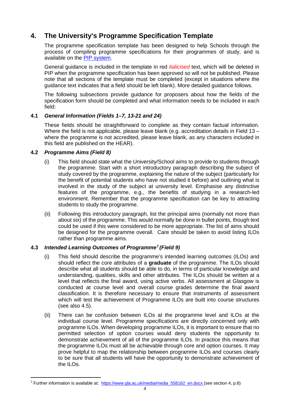### **4. The University's Programme Specification Template**

The programme specification template has been designed to help Schools through the process of compiling programme specifications for their programmes of study, and is available on the [PIP system.](http://www.gla.ac.uk/services/it/pip/)

General guidance is included in the template in red *italicised* text, which will be deleted in PIP when the programme specification has been approved so will not be published. Please note that all sections of the template must be completed (except in situations where the guidance text indicates that a field should be left blank). More detailed guidance follows.

The following subsections provide guidance for proposers about how the fields of the specification form should be completed and what information needs to be included in each field:

#### **4.1** *General Information (Fields 1–7, 13-21 and 24)*

These fields should be straightforward to complete as they contain factual information. Where the field is not applicable, please leave blank (e.g. accreditation details in Field 13 – where the programme is not accredited, please leave blank, as any characters included in this field are published on the HEAR).

#### **4.2** *Programme Aims (Field 8)*

- (i) This field should state what the University/School aims to provide to students through the programme. Start with a short introductory paragraph describing the subject of study covered by the programme, explaining the nature of the subject (particularly for the benefit of potential students who have not studied it before) and outlining what is involved in the study of the subject at university level. Emphasise any distinctive features of the programme, e.g., the benefits of studying in a research-led environment. Remember that the programme specification can be key to attracting students to study the programme.
- (ii) Following this introductory paragraph, list the principal aims (normally not more than about six) of the programme. This would normally be done in bullet points, though text could be used if this were considered to be more appropriate. The list of aims should be designed for the programme overall. Care should be taken to avoid listing ILOs rather than programme aims.

#### **4.3** *Intended Learning Outcomes of Programme[7](#page-3-0) (Field 9)*

- (i) This field should describe the programme's intended learning outcomes (ILOs) and should reflect the core attributes of a **graduate** of the programme. The ILOs should describe what all students should be able to do, in terms of particular knowledge and understanding, qualities, skills and other attributes. The ILOs should be written at a level that reflects the final award, using active verbs. All assessment at Glasgow is conducted at course level and overall course grades determine the final award classification. It is therefore necessary to ensure that instruments of assessment which will test the achievement of Programme ILOs are built into course structures (see also 4.5).
- (ii) There can be confusion between ILOs at the programme level and ILOs at the individual course level. Programme specifications are directly concerned only with programme ILOs. When developing programme ILOs, it is important to ensure that no permitted selection of option courses would deny students the opportunity to demonstrate achievement of all of the programme ILOs. In practice this means that the programme ILOs must all be achievable through core and option courses. It may prove helpful to map the relationship between programme ILOs and courses clearly to be sure that all students will have the opportunity to demonstrate achievement of the ILOs.

<span id="page-3-0"></span><sup>&</sup>lt;sup>7</sup> Further information is available at: [https://www.gla.ac.uk/media/media\\_558162\\_en.docx](https://www.gla.ac.uk/media/media_558162_en.docx) (see section 4, p.8)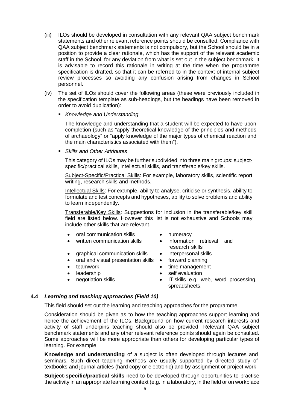- (iii) ILOs should be developed in consultation with any relevant QAA subject benchmark statements and other relevant reference points should be consulted. Compliance with QAA subject benchmark statements is not compulsory, but the School should be in a position to provide a clear rationale, which has the support of the relevant academic staff in the School, for any deviation from what is set out in the subject benchmark. It is advisable to record this rationale in writing at the time when the programme specification is drafted, so that it can be referred to in the context of internal subject review processes so avoiding any confusion arising from changes in School personnel.
- (iv) The set of ILOs should cover the following areas (these were previously included in the specification template as sub-headings, but the headings have been removed in order to avoid duplication):
	- *Knowledge and Understanding*

The knowledge and understanding that a student will be expected to have upon completion (such as "apply theoretical knowledge of the principles and methods of archaeology" or "apply knowledge of the major types of chemical reaction and the main characteristics associated with them").

*Skills and Other Attributes*

This category of ILOs may be further subdivided into three main groups: subjectspecific/practical skills, intellectual skills, and transferable/key skills.

Subject-Specific/Practical Skills: For example, laboratory skills, scientific report writing, research skills and methods.

Intellectual Skills: For example, ability to analyse, criticise or synthesis, ability to formulate and test concepts and hypotheses, ability to solve problems and ability to learn independently.

Transferable/Key Skills: Suggestions for inclusion in the transferable/key skill field are listed below. However this list is not exhaustive and Schools may include other skills that are relevant.

- oral communication skills numeracy
- 
- 
- written communication skills information retrieval and research skills
- graphical communication skills interpersonal skills
- oral and visual presentation skills forward planning
- 
- 
- 
- 
- 
- teamwork time management
	-
- example in the self evaluation<br>  $\begin{array}{ccc} \bullet & \bullet & \bullet & \bullet \\ \text{requation} & \bullet & \text{IT skills} & \text{e.g. v} \end{array}$ • negotiation skills **•** IT skills e.g. web, word processing, spreadsheets.

#### **4.4** *Learning and teaching approaches (Field 10)*

This field should set out the learning and teaching approaches for the programme.

Consideration should be given as to how the teaching approaches support learning and hence the achievement of the ILOs. Background on how current research interests and activity of staff underpins teaching should also be provided. Relevant QAA subject benchmark statements and any other relevant reference points should again be consulted. Some approaches will be more appropriate than others for developing particular types of learning. For example:

**Knowledge and understanding** of a subject is often developed through lectures and seminars. Such direct teaching methods are usually supported by directed study of textbooks and journal articles (hard copy or electronic) and by assignment or project work.

**Subject-specific/practical skills** need to be developed through opportunities to practise the activity in an appropriate learning context (e.g. in a laboratory, in the field or on workplace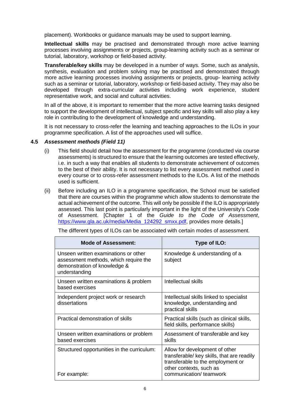placement). Workbooks or guidance manuals may be used to support learning.

**Intellectual skills** may be practised and demonstrated through more active learning processes involving assignments or projects, group-learning activity such as a seminar or tutorial, laboratory, workshop or field-based activity.

**Transferable/key skills** may be developed in a number of ways. Some, such as analysis, synthesis, evaluation and problem solving may be practised and demonstrated through more active learning processes involving assignments or projects, group- learning activity such as a seminar or tutorial, laboratory, workshop or field-based activity. They may also be developed through extra-curricular activities including work experience, student representative work, and social and cultural activities.

In all of the above, it is important to remember that the more active learning tasks designed to support the development of intellectual, subject specific and key skills will also play a key role in contributing to the development of knowledge and understanding.

It is not necessary to cross-refer the learning and teaching approaches to the ILOs in your programme specification. A list of the approaches used will suffice.

#### **4.5** *Assessment methods (Field 11)*

- (i) This field should detail how the assessment for the programme (conducted via course assessments) is structured to ensure that the learning outcomes are tested effectively, i.e. in such a way that enables all students to demonstrate achievement of outcomes to the best of their ability. It is not necessary to list every assessment method used in every course or to cross-refer assessment methods to the ILOs. A list of the methods used is sufficient.
- (ii) Before including an ILO in a programme specification, the School must be satisfied that there are courses within the programme which allow students to demonstrate the actual achievement of the outcome. This will only be possible if the ILO is appropriately assessed. This last point is particularly important in the light of the University's Code of Assessment. [Chapter 1 of the *Guide to the Code of Assessment*, [https://www.gla.ac.uk/media/Media\\_124292\\_smxx.pdf,](https://www.gla.ac.uk/media/Media_124292_smxx.pdf) provides more details.1

| <b>Mode of Assessment:</b>                                                                                                     | Type of ILO:                                                                                                                                                           |
|--------------------------------------------------------------------------------------------------------------------------------|------------------------------------------------------------------------------------------------------------------------------------------------------------------------|
| Unseen written examinations or other<br>assessment methods, which require the<br>demonstration of knowledge &<br>understanding | Knowledge & understanding of a<br>subject                                                                                                                              |
| Unseen written examinations & problem<br>based exercises                                                                       | Intellectual skills                                                                                                                                                    |
| Independent project work or research<br>dissertations                                                                          | Intellectual skills linked to specialist<br>knowledge, understanding and<br>practical skills                                                                           |
| Practical demonstration of skills                                                                                              | Practical skills (such as clinical skills,<br>field skills, performance skills)                                                                                        |
| Unseen written examinations or problem<br>based exercises                                                                      | Assessment of transferable and key<br>skills                                                                                                                           |
| Structured opportunities in the curriculum:<br>For example:                                                                    | Allow for development of other<br>transferable/ key skills, that are readily<br>transferable to the employment or<br>other contexts, such as<br>communication/teamwork |

The different types of ILOs can be associated with certain modes of assessment.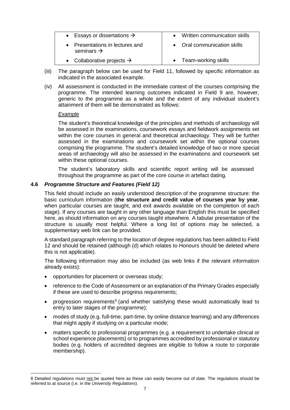| • Essays or dissertations $\rightarrow$                 | • Written communication skills |
|---------------------------------------------------------|--------------------------------|
| Presentations in lectures and<br>seminars $\rightarrow$ | • Oral communication skills    |
| • Collaborative projects $\rightarrow$                  | • Team-working skills          |

- (iii) The paragraph below can be used for Field 11, followed by specific information as indicated in the associated example.
- (iv) All assessment is conducted in the immediate context of the courses comprising the programme. The intended learning outcomes indicated in Field 9 are, however, generic to the programme as a whole and the extent of any individual student's attainment of them will be demonstrated as follows:

#### *Example*

**.** 

The student's theoretical knowledge of the principles and methods of archaeology will be assessed in the examinations, coursework essays and fieldwork assignments set within the core courses in general and theoretical archaeology. They will be further assessed in the examinations and coursework set within the optional courses comprising the programme. The student's detailed knowledge of two or more special areas of archaeology will also be assessed in the examinations and coursework set within these optional courses.

The student's laboratory skills and scientific report writing will be assessed throughout the programme as part of the core course in artefact dating.

#### **4.6** *Programme Structure and Features (Field 12)*

This field should include an easily understood description of the programme structure: the basic curriculum information (**the structure and credit value of courses year by year**, when particular courses are taught, and exit awards available on the completion of each stage). If any courses are taught in any other language than English this must be specified here, as should information on any courses taught elsewhere. A tabular presentation of the structure is usually most helpful. Where a long list of options may be selected, a supplementary web link can be provided.

A standard paragraph referring to the location of degree regulations has been added to Field 12 and should be retained (although (d) which relates to Honours should be deleted where this is not applicable).

The following information may also be included (as web links if the relevant information already exists):

- opportunities for placement or overseas study;
- reference to the Code of Assessment or an explanation of the Primary Grades especially if these are used to describe progress requirements;
- progression requirements<sup>[8](#page-6-0)</sup> (and whether satisfying these would automatically lead to entry to later stages of the programme);
- modes of study (e.g. full-time, part-time, by online distance learning) and any differences that might apply if studying on a particular mode;
- matters specific to professional programmes (e.g. a requirement to undertake clinical or school experience placements) or to programmes accredited by professional or statutory bodies (e.g. holders of accredited degrees are eligible to follow a route to corporate membership).

<span id="page-6-0"></span><sup>8</sup> Detailed regulations must not be quoted here as these can easily become out of date. The regulations should be referred to at source (i.e. in the *University Regulations*).